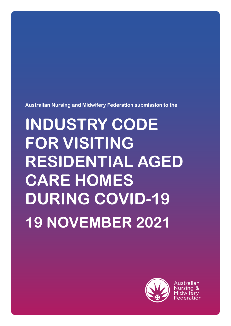**Australian Nursing and Midwifery Federation submission to the**

# **INDUSTRY CODE FOR VISITING RESIDENTIAL AGED CARE HOMES DURING COVID-19 19 NOVEMBER 2021**



Australian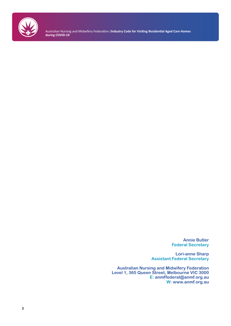

Australian Nursing and Midwifery Federation /**Industry Code for Visiting Residential Aged Care Homes during COVID-19**

> **Annie Butler Federal Secretary**

**Lori-anne Sharp Assistant Federal Secretary**

**Australian Nursing and Midwifery Federation Level 1, 365 Queen Street, Melbourne VIC 3000 E: anmffederal@anmf.org.au W: www.anmf.org.au**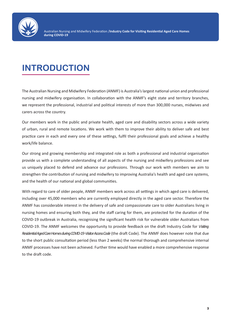

# **INTRODUCTION**

The Australian Nursing and Midwifery Federation (ANMF) is Australia's largest national union and professional nursing and midwifery organisation. In collaboration with the ANMF's eight state and territory branches, we represent the professional, industrial and political interests of more than 300,000 nurses, midwives and carers across the country.

Our members work in the public and private health, aged care and disability sectors across a wide variety of urban, rural and remote locations. We work with them to improve their ability to deliver safe and best practice care in each and every one of these settings, fulfil their professional goals and achieve a healthy work/life balance.

Our strong and growing membership and integrated role as both a professional and industrial organisation provide us with a complete understanding of all aspects of the nursing and midwifery professions and see us uniquely placed to defend and advance our professions. Through our work with members we aim to strengthen the contribution of nursing and midwifery to improving Australia's health and aged care systems, and the health of our national and global communities.

With regard to care of older people, ANMF members work across all settings in which aged care is delivered, including over 45,000 members who are currently employed directly in the aged care sector. Therefore the ANMF has considerable interest in the delivery of safe and compassionate care to older Australians living in nursing homes and ensuring both they, and the staff caring for them, are protected for the duration of the COVID-19 outbreak in Australia, recognising the significant health risk for vulnerable older Australians from COVID-19. The ANMF welcomes the opportunity to provide feedback on the draft Industry Code for *Visiting Residential Aged Care Homes during COVID-19 -Visitor Access Code* (the draft Code). The ANMF does however note that due to the short public consultation period (less than 2 weeks) the normal thorough and comprehensive internal ANMF processes have not been achieved. Further time would have enabled a more comprehensive response to the draft code.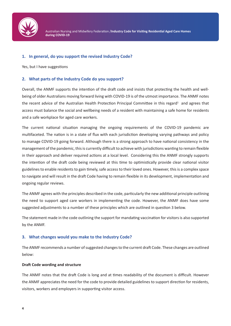

# **1. In general, do you support the revised Industry Code?**

Yes, but I have suggestions

# **2. What parts of the Industry Code do you support?**

Overall, the ANMF supports the intention of the draft code and insists that protecting the health and wellbeing of older Australians moving forward living with COVID-19 is of the utmost importance. The ANMF notes the recent advice of the Australian Health Protection Principal Committee in this regard<sup>1</sup> and agrees that access must balance the social and wellbeing needs of a resident with maintaining a safe home for residents and a safe workplace for aged care workers.

The current national situation managing the ongoing requirements of the COVID-19 pandemic are multifaceted. The nation is in a state of flux with each jurisdiction developing varying pathways and policy to manage COVID-19 going forward. Although there is a strong approach to have national consistency in the management of the pandemic, this is currently difficult to achieve with jurisdictions wanting to remain flexible in their approach and deliver required actions at a local level. Considering this the ANMF strongly supports the intention of the draft code being reviewed at this time to optimistically provide clear national visitor guidelines to enable residents to gain timely, safe access to their loved ones. However, this is a complex space to navigate and will result in the draft Code having to remain flexible in its development, implementation and ongoing regular reviews.

The ANMF agrees with the principles described in the code, particularly the new additional principle outlining the need to support aged care workers in implementing the code. However, the ANMF does have some suggested adjustments to a number of these principles which are outlined in question 3 below.

The statement made in the code outlining the support for mandating vaccination for visitors is also supported by the ANMF.

# **3. What changes would you make to the Industry Code?**

The ANMF recommends a number of suggested changes to the current draft Code. These changes are outlined below:

#### **Draft Code wording and structure**

The ANMF notes that the draft Code is long and at times readability of the document is difficult. However the ANMF appreciates the need for the code to provide detailed guidelines to support direction for residents, visitors, workers and employers in supporting visitor access.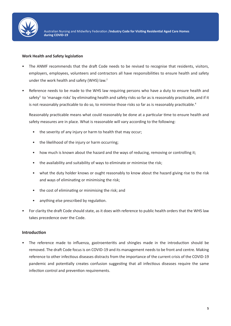

# **Work Health and Safety legislation**

- The ANMF recommends that the draft Code needs to be revised to recognise that residents, visitors, employers, employees, volunteers and contractors all have responsibilities to ensure health and safety under the work health and safety (WHS) law.<sup>2</sup>
- Reference needs to be made to the WHS law requiring persons who have a duty to ensure health and safety<sup>3</sup> to 'manage risks' by eliminating health and safety risks so far as is reasonably practicable, and if it is not reasonably practicable to do so, to minimise those risks so far as is reasonably practicable.<sup>4</sup>

Reasonably practicable means what could reasonably be done at a particular time to ensure health and safety measures are in place. What is reasonable will vary according to the following:

- the severity of any injury or harm to health that may occur;
- the likelihood of the injury or harm occurring;
- how much is known about the hazard and the ways of reducing, removing or controlling it;
- the availability and suitability of ways to eliminate or minimise the risk;
- what the duty holder knows or ought reasonably to know about the hazard giving rise to the risk and ways of eliminating or minimising the risk;
- the cost of eliminating or minimising the risk; and
- anything else prescribed by regulation.
- For clarity the draft Code should state, as it does with reference to public health orders that the WHS law takes precedence over the Code.

# **Introduction**

• The reference made to influenza, gastroenteritis and shingles made in the introduction should be removed. The draft Code focus is on COVID-19 and its management needs to be front and centre. Making reference to other infectious diseases distracts from the importance of the current crisis of the COVID-19 pandemic and potentially creates confusion suggesting that all infectious diseases require the same infection control and prevention requirements.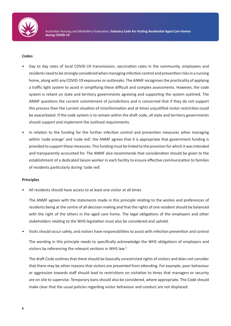

#### **Codes**

- Day to day rates of local COVID-19 transmission, vaccination rates in the community, employees and residents need to be strongly considered when managing infection control and prevention risks in a nursing home, along with any COVID-19 exposures or outbreaks. The ANMF recognises the practicality of applying a traffic light system to assist in simplifying these difficult and complex assessments. However, the code system is reliant on state and territory governments agreeing and supporting the system outlined. The ANMF questions the current commitment of jurisdictions and is concerned that if they do not support this process then the current situation of misinformation and at times unjustified visitor restriction could be exacerbated. If the code system is to remain within the draft code, all state and territory governments should support and implement the outlined requirements.
- In relation to the funding for the further infection control and prevention measures when managing within 'code orange' and 'code red', the ANMF agrees that it is appropriate that government funding is provided to support these measures. This funding must be linked to the provision for which it was intended and transparently accounted for. The ANMF also recommends that consideration should be given to the establishment of a dedicated liaison worker in each facility to ensure effective communication to families of residents particularly during 'code red'.

#### **Principles**

• All residents should have access to at least one visitor at all times

The ANMF agrees with the statements made in this principle relating to the wishes and preferences of residents being at the centre of all decision making and that the rights of one resident should be balanced with the right of the others in the aged care home. The legal obligations of the employers and other stakeholders relating to the WHS legislation must also be considered and upheld.

• Visits should occur safely, and visitors have responsibilities to assist with infection prevention and control

The wording in this principle needs to specifically acknowledge the WHS obligations of employers and visitors by referencing the relevant sections in WHS law.5

The draft Code outlines that there should be basically unrestricted rights of visitors and does not consider that there may be other reasons that visitors are prevented from attending. For example, poor behaviour or aggression towards staff should lead to restrictions on visitation to times that managers or security are on site to supervise. Temporary bans should also be considered, where appropriate. The Code should make clear that the usual policies regarding visitor behaviour and conduct are not displaced.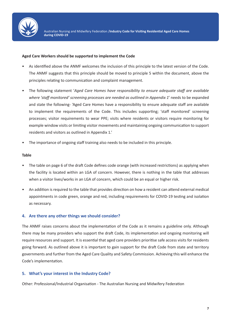

#### **Aged Care Workers should be supported to implement the Code**

- As identified above the ANMF welcomes the inclusion of this principle to the latest version of the Code. The ANMF suggests that this principle should be moved to principle 5 within the document, above the principles relating to communication and complaint management.
- The following statement '*Aged Care Homes have responsibility to ensure adequate staff are available where 'staff monitored' screening processes are needed as outlined in Appendix 1*' needs to be expanded and state the following- 'Aged Care Homes have a responsibility to ensure adequate staff are available to implement the requirements of the Code. This includes supporting; 'staff monitored' screening processes; visitor requirements to wear PPE; visits where residents or visitors require monitoring for example window visits or limiting visitor movements and maintaining ongoing communication to support residents and visitors as outlined in Appendix 1.'
- The importance of ongoing staff training also needs to be included in this principle.

#### **Table**

- The table on page 6 of the draft Code defines code orange (with increased restrictions) as applying when the facility is located within an LGA of concern. However, there is nothing in the table that addresses when a visitor lives/works in an LGA of concern, which could be an equal or higher risk.
- An addition is required to the table that provides direction on how a resident can attend external medical appointments in code green, orange and red, including requirements for COVID-19 testing and isolation as necessary.

#### **4. Are there any other things we should consider?**

The ANMF raises concerns about the implementation of the Code as it remains a guideline only. Although there may be many providers who support the draft Code, its implementation and ongoing monitoring will require resources and support. It is essential that aged care providers prioritise safe access visits for residents going forward. As outlined above it is important to gain support for the draft Code from state and territory governments and further from the Aged Care Quality and Safety Commission. Achieving this will enhance the Code's implementation.

### **5. What's your interest in the Industry Code?**

Other: Professional/Industrial Organisation - The Australian Nursing and Midwifery Federation